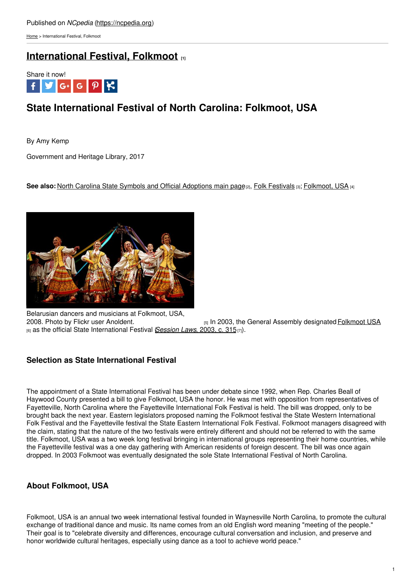[Home](https://ncpedia.org/) > International Festival, Folkmoot

## **[International](https://ncpedia.org/symbols/international-festival) Festival, Folkmoot [1]**



# **State International Festival of North Carolina: Folkmoot, USA**

By Amy Kemp

Government and Heritage Library, 2017

See also: North Carolina State Symbols and [Official](http://www.social9.com) [Adoptions](https://ncpedia.org/symbols) main page<sup>[2]</sup>, Folk [Festivals](https://ncpedia.org/folk-festivals-part-2-original-folk) [3]; [Folkmoot,](https://ncpedia.org/folkmoot-usa) USA [4]



Belarusian dancers and musicians at Folkmoot, USA, 2008. Photo by Flickr user Anoldent. [5] In 2003, the General Assembly designated [Folkmoot](https://www.folkmoot.org/) USA [6] as the official State International Festival (*[Session](https://www.ncleg.net/EnactedLegislation/SessionLaws/HTML/2003-2004/SL2003-315.html) Laws*, 2003, c. 315[7]).

## **Selection as State International Festival**

The appointment of a State International Festival has been under debate since 1992, when Rep. Charles Beall of Haywood County presented a bill to give Folkmoot, USA the honor. He was met with opposition from representatives of Fayetteville, North Carolina where the Fayetteville International Folk Festival is held. The bill was dropped, only to be brought back the next year. Eastern legislators proposed naming the Folkmoot festival the State Western International Folk Festival and the Fayetteville festival the State Eastern International Folk Festival. Folkmoot managers disagreed with the claim, stating that the nature of the two festivals were entirely different and should not be referred to with the same title. Folkmoot, USA was a two week long festival bringing in international groups representing their home countries, while the Fayetteville festival was a one day gathering with American residents of foreign descent. The bill was once again dropped. In 2003 Folkmoot was eventually designated the sole State International Festival of North Carolina.

## **About Folkmoot, USA**

Folkmoot, USA is an annual two week international festival founded in Waynesville North Carolina, to promote the cultural exchange of traditional dance and music. Its name comes from an old English word meaning "meeting of the people." Their goal is to "celebrate diversity and differences, encourage cultural conversation and inclusion, and preserve and honor worldwide cultural heritages, especially using dance as a tool to achieve world peace."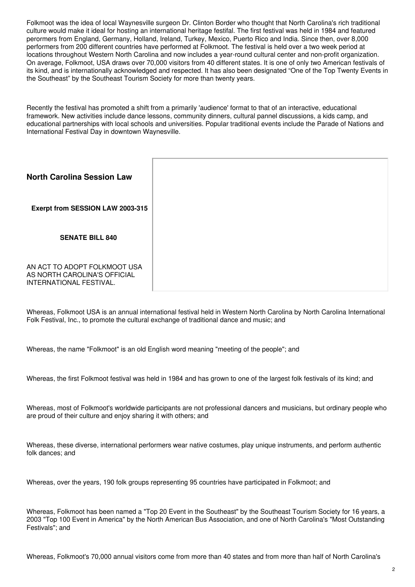Folkmoot was the idea of local Waynesville surgeon Dr. Clinton Border who thought that North Carolina's rich traditional culture would make it ideal for hosting an international heritage festifal. The first festival was held in 1984 and featured perormers from England, Germany, Holland, Ireland, Turkey, Mexico, Puerto Rico and India. Since then, over 8,000 performers from 200 different countries have performed at Folkmoot. The festival is held over a two week period at locations throughout Western North Carolina and now includes a year-round cultural center and non-profit organization. On average, Folkmoot, USA draws over 70,000 visitors from 40 different states. It is one of only two American festivals of its kind, and is internationally acknowledged and respected. It has also been designated "One of the Top Twenty Events in the Southeast" by the Southeast Tourism Society for more than twenty years.

Recently the festival has promoted a shift from a primarily 'audience' format to that of an interactive, educational framework. New activities include dance lessons, community dinners, cultural pannel discussions, a kids camp, and educational partnerships with local schools and universities. Popular traditional events include the Parade of Nations and International Festival Day in downtown Waynesville.

| <b>North Carolina Session Law</b>                                                       |  |
|-----------------------------------------------------------------------------------------|--|
| Exerpt from SESSION LAW 2003-315                                                        |  |
| <b>SENATE BILL 840</b>                                                                  |  |
| AN ACT TO ADOPT FOLKMOOT USA<br>AS NORTH CAROLINA'S OFFICIAL<br>INTERNATIONAL FESTIVAL. |  |

Whereas, Folkmoot USA is an annual international festival held in Western North Carolina by North Carolina International Folk Festival, Inc., to promote the cultural exchange of traditional dance and music; and

Whereas, the name "Folkmoot" is an old English word meaning "meeting of the people"; and

Whereas, the first Folkmoot festival was held in 1984 and has grown to one of the largest folk festivals of its kind; and

Whereas, most of Folkmoot's worldwide participants are not professional dancers and musicians, but ordinary people who are proud of their culture and enjoy sharing it with others; and

Whereas, these diverse, international performers wear native costumes, play unique instruments, and perform authentic folk dances; and

Whereas, over the years, 190 folk groups representing 95 countries have participated in Folkmoot; and

Whereas, Folkmoot has been named a "Top 20 Event in the Southeast" by the Southeast Tourism Society for 16 years, a 2003 "Top 100 Event in America" by the North American Bus Association, and one of North Carolina's "Most Outstanding Festivals"; and

Whereas, Folkmoot's 70,000 annual visitors come from more than 40 states and from more than half of North Carolina's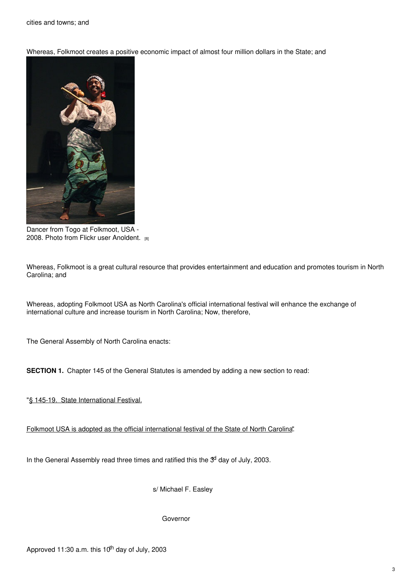Whereas, Folkmoot creates a positive economic impact of almost four million dollars in the State; and



Dancer from Togo at Folkmoot, USA - 2008. Photo from Flickr user [Anoldent.](https://www.flickr.com/photos/anoldent/3745282937/in/photolist-6H2C27-6GXyfi-6GXy3c-6GXy8K-6H2CrS-6H26cf-6H26gh-6GX1Er-6H267j-6H25V9) [8]

Whereas, Folkmoot is a great cultural resource that provides entertainment and education and promotes tourism in North Carolina; and

Whereas, adopting Folkmoot USA as North Carolina's official international festival will enhance the exchange of international culture and increase tourism in North Carolina; Now, therefore,

The General Assembly of North Carolina enacts:

**SECTION 1.** Chapter 145 of the General Statutes is amended by adding a new section to read:

"§ 145-19. State International Festival.

Folkmoot USA is adopted as the official international festival of the State of North Carolina".

In the General Assembly read three times and ratified this the <sup>3d</sup> day of July, 2003.

s/ Michael F. Easley

Governor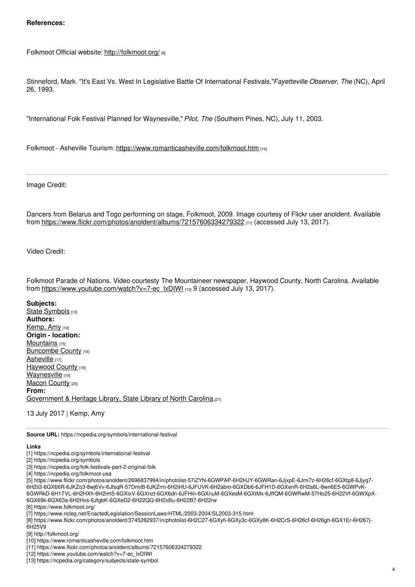#### **References:**

Folkmoot Official website: <http://folkmoot.org/> [9]

Stinneford, Mark. "It's East Vs. West In Legislative Battle Of International Festivals,"*Fayetteville Observer, The* (NC), April 26, 1993.

"International Folk Festival Planned for Waynesville,"*Pilot, The* (Southern Pines, NC), July 11, 2003.

Folkmoot - Asheville Tourism: <https://www.romanticasheville.com/folkmoot.htm> [10]

Image Credit:

Dancers from Belarus and Togo performing on stage, Folkmoot, 2009. Image courtesy of Flickr user anoldent. Available from <https://www.flickr.com/photos/anoldent/albums/72157606334279322> [11] (accessed July 13, 2017).

Video Credit:

Folkmoot Parade of Nations. Video courtesty The Mountaineer newspaper, Haywood County, North Carolina. Available from [https://www.youtube.com/watch?v=7-ec\\_lxDIWI](https://www.youtube.com/watch?v=7-ec_lxDIWI) [12] 9 (accessed July 13, 2017).

**Subjects:**

State [Symbols](https://ncpedia.org/category/subjects/state-symbol) [13] **Authors:** [Kemp,](https://ncpedia.org/category/authors/kemp-amy) Amy [14] **Origin - location:** [Mountains](https://ncpedia.org/category/origin-location/mountains) [15] [Buncombe](https://ncpedia.org/category/origin-location/mountain-8) County [16] [Asheville](https://ncpedia.org/category/origin-location/mountain-9) [17] [Haywood](https://ncpedia.org/category/origin-location/mountain-5) County [18] **[Waynesville](https://ncpedia.org/category/origin-location-6)** [19] Macon [County](https://ncpedia.org/category/origin-location/mountain-2) [20] **From:** [Government](https://ncpedia.org/category/entry-source/government) & Heritage Library, State Library of North Carolina.[21]

13 July 2017 | Kemp, Amy

**Source URL:** https://ncpedia.org/symbols/international-festival

#### **Links**

[2] https://ncpedia.org/symbols

[3] https://ncpedia.org/folk-festivals-part-2-original-folk

[4] https://ncpedia.org/folkmoot-usa

[5] https://www.flickr.com/photos/anoldent/2696837994/in/photolist-57iZYN-6GWPAP-6H2HJY-6GWRan-6JjxpE-6Jmi7z-6H26cf-6GXtp8-6Jjyq7- 6H2ii3-6GX66R-6JKZo3-8wj6Vv-6JfsqR-57DmrB-6JKZrm-6H2iHU-6JFUVK-6H2abm-6GXDb6-6JFH1D-6GXenR-6H2a6L-8wn6E5-6GWPvK-6GWRkD-6H1TVL-6H2HXh-6H2imS-6GXtxV-6GXnzt-6GX6dn-6JFHin-6GXnuM-6GXesM-6GXtMx-6JffQM-6GWRwM-57Ho25-6H22Vf-6GWXpX-6GX69k-6GX63a-6H2Hvs-6JfgbK-6GXeD2-6H22QQ-6H2xBu-6H22B7-6H22rw

[6] https://www.folkmoot.org/

6H25V9

[9] http://folkmoot.org/

[11] https://www.flickr.com/photos/anoldent/albums/72157606334279322

<sup>[1]</sup> https://ncpedia.org/symbols/international-festival

<sup>[7]</sup> https://www.ncleg.net/EnactedLegislation/SessionLaws/HTML/2003-2004/SL2003-315.html

<sup>[8]</sup> https://www.flickr.com/photos/anoldent/3745282937/in/photolist-6H2C27-6GXyfi-6GXy3c-6GXy8K-6H2CrS-6H26cf-6H26gh-6GX1Er-6H267j-

<sup>[10]</sup> https://www.romanticasheville.com/folkmoot.htm

<sup>[12]</sup> https://www.youtube.com/watch?v=7-ec\_lxDIWI

<sup>[13]</sup> https://ncpedia.org/category/subjects/state-symbol